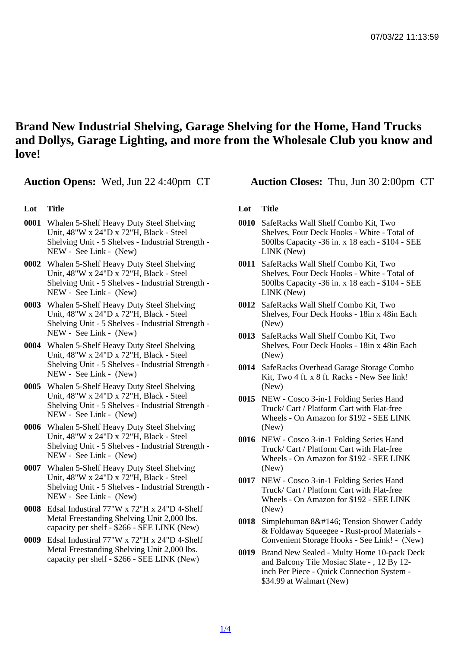Brand New Industrial Shelving, Garage Shelving for the Home, Hand Trucks and Dollys, Garage Lighting, and more from the Wholesale Club you know and love!

Auction Opens: Wed, Jun 22 4:40pm CT Auction Closes: Thu, Jun 30 2:00pm CT

## Lot Title

- 0001 Whalen 5-Shelf Heavy Duty Steel Shelving Unit, 48"W x 24"D x 72"H, Black - Steel Shelving Unit - 5 Shelves - Industrial Strength - NEW - See Link - (New)
- 0002 Whalen 5-Shelf Heavy Duty Steel Shelving Unit, 48"W x 24"D x 72"H, Black - Steel Shelving Unit - 5 Shelves - Industrial Strength - NEW - See Link - (New)
- 0003 Whalen 5-Shelf Heavy Duty Steel Shelving Unit, 48"W x 24"D x 72"H, Black - Steel Shelving Unit - 5 Shelves - Industrial Strength - NEW - See Link - (New)
- 0004 Whalen 5-Shelf Heavy Duty Steel Shelving Unit, 48"W x 24"D x 72"H, Black - Steel Shelving Unit - 5 Shelves - Industrial Strength - NEW - See Link - (New)
- 0005 Whalen 5-Shelf Heavy Duty Steel Shelving Unit, 48"W x 24"D x 72"H, Black - Steel Shelving Unit - 5 Shelves - Industrial Strength - NEW - See Link - (New)
- 0006 Whalen 5-Shelf Heavy Duty Steel Shelving Unit, 48"W x 24"D x 72"H, Black - Steel Shelving Unit - 5 Shelves - Industrial Strength - NEW - See Link - (New)
- 0007 Whalen 5-Shelf Heavy Duty Steel Shelving Unit, 48"W x 24"D x 72"H, Black - Steel Shelving Unit - 5 Shelves - Industrial Strength - NEW - See Link - (New)
- 0008 Edsal Industiral 77"W x 72"H x 24"D 4-Shelf Metal Freestanding Shelving Unit 2,000 lbs. capacity per shelf - \$266 - SEE LINK (New)
- 0009 Edsal Industiral 77"W x 72"H x 24"D 4-Shelf Metal Freestanding Shelving Unit 2,000 lbs. capacity per shelf - \$266 - SEE LINK (New)

## Lot Title

- 0010 SafeRacks Wall Shelf Combo Kit, Two Shelves, Four Deck Hooks - White - Total of 500lbs Capacity -36 in. x 18 each - \$104 - SEE LINK (New)
- 0011 SafeRacks Wall Shelf Combo Kit, Two Shelves, Four Deck Hooks - White - Total of 500lbs Capacity -36 in. x 18 each - \$104 - SEE LINK (New)
- 0012 SafeRacks Wall Shelf Combo Kit, Two Shelves, Four Deck Hooks - 18in x 48in Each (New)
- 0013 SafeRacks Wall Shelf Combo Kit, Two Shelves, Four Deck Hooks - 18in x 48in Each (New)
- 0014 SafeRacks Overhead Garage Storage Combo Kit, Two 4 ft. x 8 ft. Racks - New See link! (New)
- 0015 NEW Cosco 3-in-1 Folding Series Hand Truck/ Cart / Platform Cart with Flat-free Wheels - On Amazon for \$192 - SEE LINK (New)
- 0016 NEW Cosco 3-in-1 Folding Series Hand Truck/ Cart / Platform Cart with Flat-free Wheels - On Amazon for \$192 - SEE LINK (New)
- 0017 NEW Cosco 3-in-1 Folding Series Hand Truck/ Cart / Platform Cart with Flat-free Wheels - On Amazon for \$192 - SEE LINK (New)
- 0018 Simplehuman 8' Tension Shower Caddy & Foldaway Squeegee - Rust-proof Materials - Convenient Storage Hooks - See Link! - (New)
- 0019 Brand New Sealed Multy Home 10-pack Deck and Balcony Tile Mosiac Slate - , 12 By 12 inch Per Piece - Quick Connection System - \$34.99 at Walmart (New)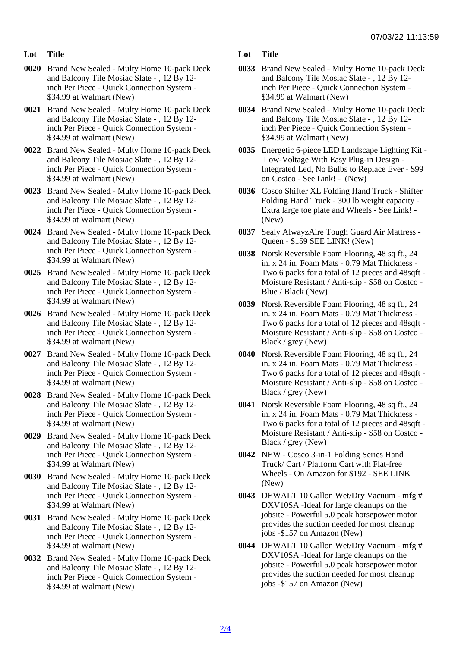- Lot Title
- 0020 Brand New Sealed Multy Home 10-pack Deck and Balcony Tile Mosiac Slate - , 12 By 12 inch Per Piece - Quick Connection System - \$34.99 at Walmart (New)
- 0021 Brand New Sealed Multy Home 10-pack Deck and Balcony Tile Mosiac Slate - , 12 By 12 inch Per Piece - Quick Connection System - \$34.99 at Walmart (New)
- 0022 Brand New Sealed Multy Home 10-pack Deck and Balcony Tile Mosiac Slate - , 12 By 12 inch Per Piece - Quick Connection System - \$34.99 at Walmart (New)
- 0023 Brand New Sealed Multy Home 10-pack Deck and Balcony Tile Mosiac Slate - , 12 By 12 inch Per Piece - Quick Connection System - \$34.99 at Walmart (New)
- 0024 Brand New Sealed Multy Home 10-pack Deck and Balcony Tile Mosiac Slate - , 12 By 12 inch Per Piece - Quick Connection System - \$34.99 at Walmart (New)
- 0025 Brand New Sealed Multy Home 10-pack Deck and Balcony Tile Mosiac Slate - , 12 By 12 inch Per Piece - Quick Connection System - \$34.99 at Walmart (New)
- 0026 Brand New Sealed Multy Home 10-pack Deck and Balcony Tile Mosiac Slate - , 12 By 12 inch Per Piece - Quick Connection System - \$34.99 at Walmart (New)
- 0027 Brand New Sealed Multy Home 10-pack Deck and Balcony Tile Mosiac Slate - , 12 By 12 inch Per Piece - Quick Connection System - \$34.99 at Walmart (New)
- 0028 Brand New Sealed Multy Home 10-pack Deck and Balcony Tile Mosiac Slate - , 12 By 12 inch Per Piece - Quick Connection System - \$34.99 at Walmart (New)
- 0029 Brand New Sealed Multy Home 10-pack Deck and Balcony Tile Mosiac Slate - , 12 By 12 inch Per Piece - Quick Connection System - \$34.99 at Walmart (New)
- 0030 Brand New Sealed Multy Home 10-pack Deck and Balcony Tile Mosiac Slate - , 12 By 12 inch Per Piece - Quick Connection System - \$34.99 at Walmart (New)
- 0031 Brand New Sealed Multy Home 10-pack Deck and Balcony Tile Mosiac Slate - , 12 By 12 inch Per Piece - Quick Connection System - \$34.99 at Walmart (New)
- 0032 Brand New Sealed Multy Home 10-pack Deck and Balcony Tile Mosiac Slate - , 12 By 12 inch Per Piece - Quick Connection System - \$34.99 at Walmart (New)
- Lot Title
- 0033 Brand New Sealed Multy Home 10-pack Deck and Balcony Tile Mosiac Slate - , 12 By 12 inch Per Piece - Quick Connection System - \$34.99 at Walmart (New)
- 0034 Brand New Sealed Multy Home 10-pack Deck and Balcony Tile Mosiac Slate - , 12 By 12 inch Per Piece - Quick Connection System - \$34.99 at Walmart (New)
- 0035 Energetic 6-piece LED Landscape Lighting Kit Low-Voltage With Easy Plug-in Design - Integrated Led, No Bulbs to Replace Ever - \$99 on Costco - See Link! - (New)
- 0036 Cosco Shifter XL Folding Hand Truck Shifter Folding Hand Truck - 300 lb weight capacity - Extra large toe plate and Wheels - See Link! - (New)
- 0037 Sealy AlwayzAire Tough Guard Air Mattress Queen - \$159 SEE LINK! (New)
- 0038 Norsk Reversible Foam Flooring, 48 sq ft., 24 in. x 24 in. Foam Mats - 0.79 Mat Thickness - Two 6 packs for a total of 12 pieces and 48sqft - Moisture Resistant / Anti-slip - \$58 on Costco - Blue / Black (New)
- 0039 Norsk Reversible Foam Flooring, 48 sq ft., 24 in. x 24 in. Foam Mats - 0.79 Mat Thickness - Two 6 packs for a total of 12 pieces and 48sqft - Moisture Resistant / Anti-slip - \$58 on Costco - Black / grey (New)
- 0040 Norsk Reversible Foam Flooring, 48 sq ft., 24 in. x 24 in. Foam Mats - 0.79 Mat Thickness - Two 6 packs for a total of 12 pieces and 48sqft - Moisture Resistant / Anti-slip - \$58 on Costco - Black / grey (New)
- 0041 Norsk Reversible Foam Flooring, 48 sq ft., 24 in. x 24 in. Foam Mats - 0.79 Mat Thickness - Two 6 packs for a total of 12 pieces and 48sqft - Moisture Resistant / Anti-slip - \$58 on Costco - Black / grey (New)
- 0042 NEW Cosco 3-in-1 Folding Series Hand Truck/ Cart / Platform Cart with Flat-free Wheels - On Amazon for \$192 - SEE LINK (New)
- 0043 DEWALT 10 Gallon Wet/Dry Vacuum mfg # DXV10SA -Ideal for large cleanups on the jobsite - Powerful 5.0 peak horsepower motor provides the suction needed for most cleanup jobs -\$157 on Amazon (New)
- 0044 DEWALT 10 Gallon Wet/Dry Vacuum mfg # DXV10SA -Ideal for large cleanups on the jobsite - Powerful 5.0 peak horsepower motor provides the suction needed for most cleanup jobs -\$157 on Amazon (New)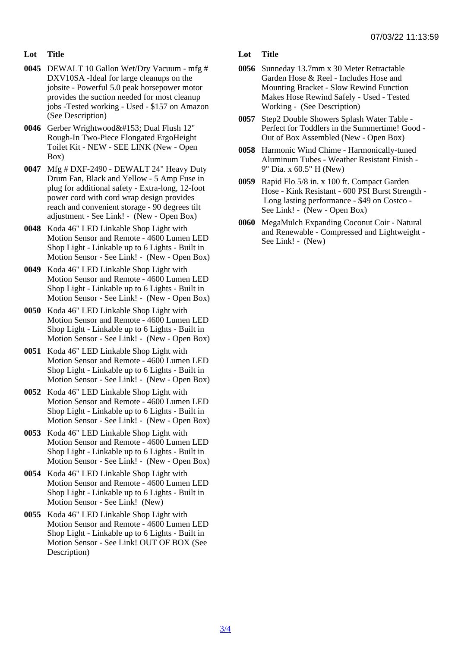- Lot Title
- 0045 DEWALT 10 Gallon Wet/Dry Vacuum mfg # DXV10SA -Ideal for large cleanups on the jobsite - Powerful 5.0 peak horsepower motor provides the suction needed for most cleanup jobs -Tested working - Used - \$157 on Amazon (See Description)
- 0046 Gerber Wrightwood™ Dual Flush 12" Rough-In Two-Piece Elongated ErgoHeight Toilet Kit - NEW - SEE LINK (New - Open Box)
- 0047 Mfg # DXF-2490 DEWALT 24" Heavy Duty Drum Fan, Black and Yellow - 5 Amp Fuse in plug for additional safety - Extra-long, 12-foot power cord with cord wrap design provides reach and convenient storage - 90 degrees tilt adjustment - See Link! - (New - Open Box)
- 0048 Koda 46" LED Linkable Shop Light with Motion Sensor and Remote - 4600 Lumen LED Shop Light - Linkable up to 6 Lights - Built in Motion Sensor - See Link! - (New - Open Box)
- 0049 Koda 46" LED Linkable Shop Light with Motion Sensor and Remote - 4600 Lumen LED Shop Light - Linkable up to 6 Lights - Built in Motion Sensor - See Link! - (New - Open Box)
- 0050 Koda 46" LED Linkable Shop Light with Motion Sensor and Remote - 4600 Lumen LED Shop Light - Linkable up to 6 Lights - Built in Motion Sensor - See Link! - (New - Open Box)
- 0051 Koda 46" LED Linkable Shop Light with Motion Sensor and Remote - 4600 Lumen LED Shop Light - Linkable up to 6 Lights - Built in Motion Sensor - See Link! - (New - Open Box)
- 0052 Koda 46" LED Linkable Shop Light with Motion Sensor and Remote - 4600 Lumen LED Shop Light - Linkable up to 6 Lights - Built in Motion Sensor - See Link! - (New - Open Box)
- 0053 Koda 46" LED Linkable Shop Light with Motion Sensor and Remote - 4600 Lumen LED Shop Light - Linkable up to 6 Lights - Built in Motion Sensor - See Link! - (New - Open Box)
- 0054 Koda 46" LED Linkable Shop Light with Motion Sensor and Remote - 4600 Lumen LED Shop Light - Linkable up to 6 Lights - Built in Motion Sensor - See Link! (New)
- 0055 Koda 46" LED Linkable Shop Light with Motion Sensor and Remote - 4600 Lumen LED Shop Light - Linkable up to 6 Lights - Built in Motion Sensor - See Link! OUT OF BOX (See Description)
- Lot Title
- 0056 Sunneday 13.7mm x 30 Meter Retractable Garden Hose & Reel - Includes Hose and Mounting Bracket - Slow Rewind Function Makes Hose Rewind Safely - Used - Tested Working - (See Description)
- 0057 Step2 Double Showers Splash Water Table Perfect for Toddlers in the Summertime! Good - Out of Box Assembled (New - Open Box)
- 0058 Harmonic Wind Chime Harmonically-tuned Aluminum Tubes - Weather Resistant Finish - 9" Dia. x 60.5" H (New)
- 0059 Rapid Flo 5/8 in. x 100 ft. Compact Garden Hose - Kink Resistant - 600 PSI Burst Strength - Long lasting performance - \$49 on Costco - See Link! - (New - Open Box)
- 0060 MegaMulch Expanding Coconut Coir Natural and Renewable - Compressed and Lightweight - See Link! - (New)